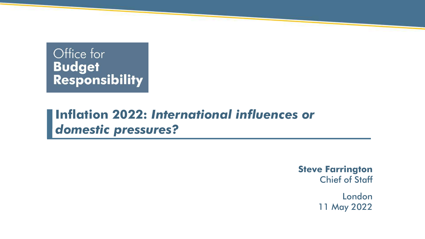#### Office for **Budget Responsibility**

### **Inflation 2022:** *International influences or domestic pressures?*

**Steve Farrington** Chief of Staff

> London 11 May 2022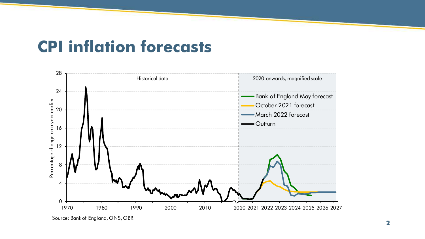## **CPI inflation forecasts**



Source: Bank of England, ONS, OBR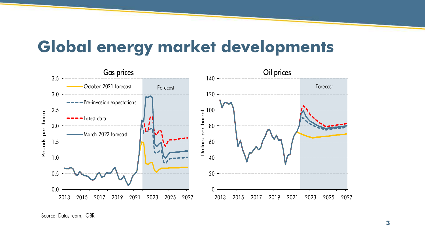### **Global energy market developments**



Source: Datastream, OBR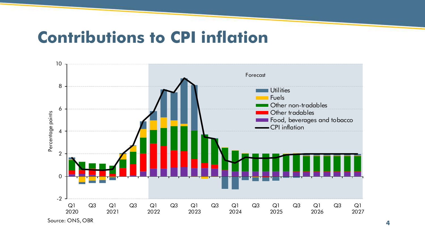### **Contributions to CPI inflation**

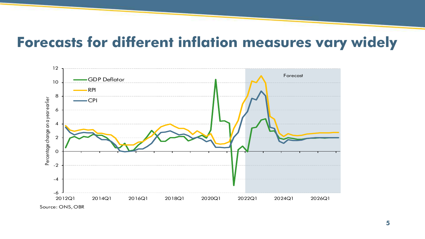#### **Forecasts for different inflation measures vary widely**